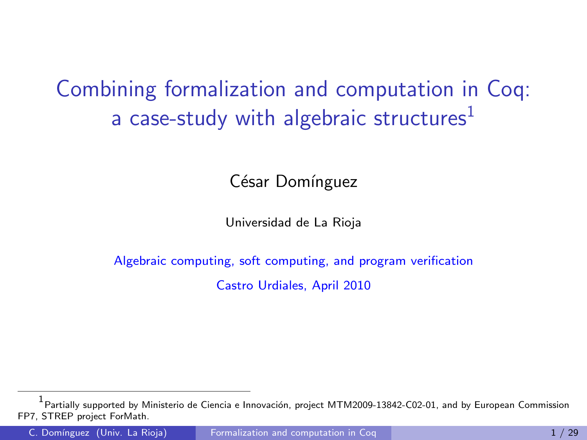Combining formalization and computation in Coq: a case-study with algebraic structures $<sup>1</sup>$ </sup>

César Domínguez

<span id="page-0-0"></span>Universidad de La Rioja

Algebraic computing, soft computing, and program verification Castro Urdiales, April 2010

<sup>1&</sup>lt;br><sup>1</sup> Partially supported by Ministerio de Ciencia e Innovación, project MTM2009-13842-C02-01, and by European Commission FP7, STREP project ForMath.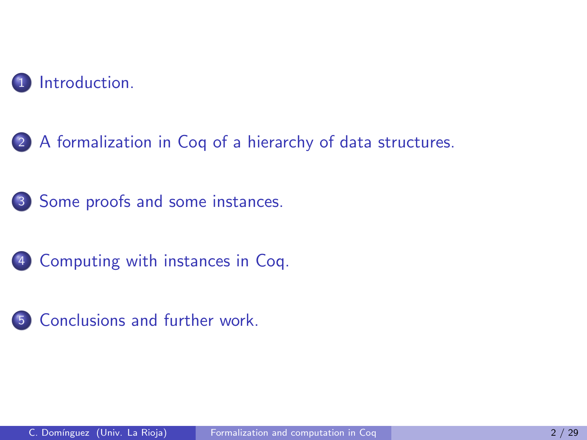

[A formalization in Coq of a hierarchy of data structures.](#page-10-0)

[Some proofs and some instances.](#page-31-0)

[Computing with instances in Coq.](#page-48-0)

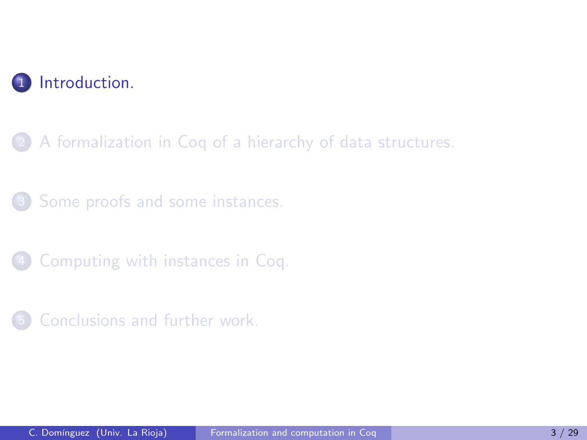

2 [A formalization in Coq of a hierarchy of data structures.](#page-10-0)

[Some proofs and some instances.](#page-31-0)

<span id="page-2-0"></span>[Computing with instances in Coq.](#page-48-0)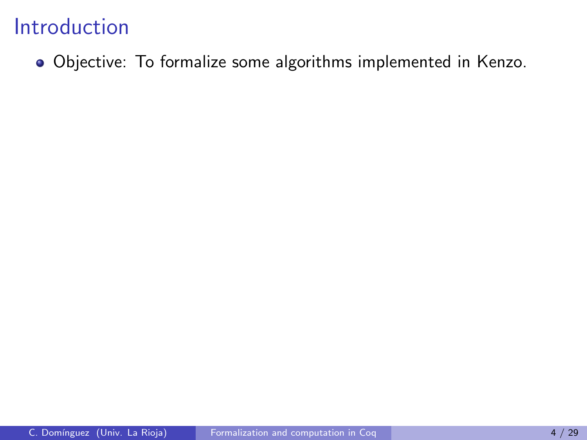Objective: To formalize some algorithms implemented in Kenzo.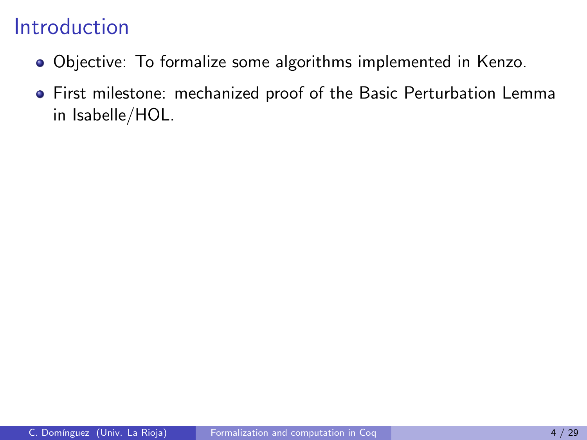- Objective: To formalize some algorithms implemented in Kenzo.
- First milestone: mechanized proof of the Basic Perturbation Lemma in Isabelle/HOL.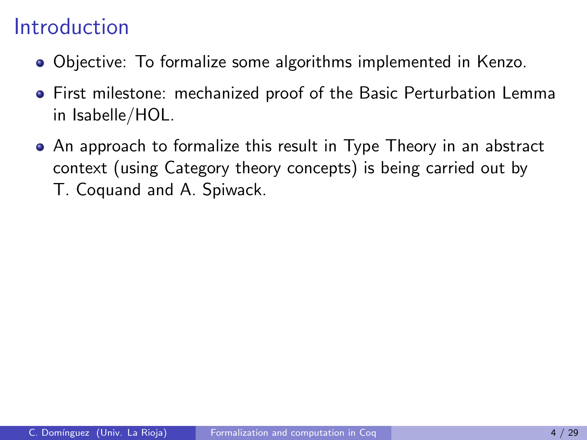- Objective: To formalize some algorithms implemented in Kenzo.
- First milestone: mechanized proof of the Basic Perturbation Lemma in Isabelle/HOL.
- An approach to formalize this result in Type Theory in an abstract context (using Category theory concepts) is being carried out by T. Coquand and A. Spiwack.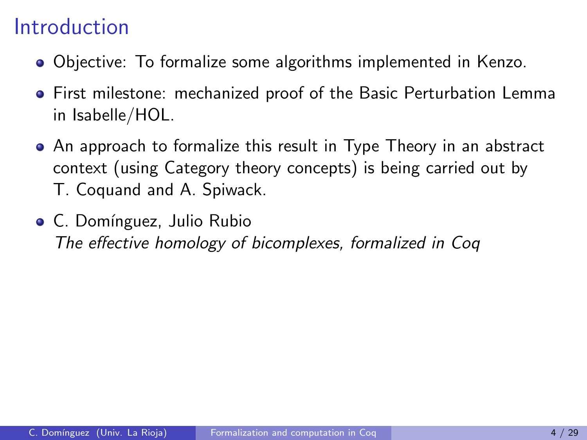- Objective: To formalize some algorithms implemented in Kenzo.
- First milestone: mechanized proof of the Basic Perturbation Lemma in Isabelle/HOL.
- An approach to formalize this result in Type Theory in an abstract context (using Category theory concepts) is being carried out by T. Coquand and A. Spiwack.
- C. Domínguez, Julio Rubio The effective homology of bicomplexes, formalized in Coq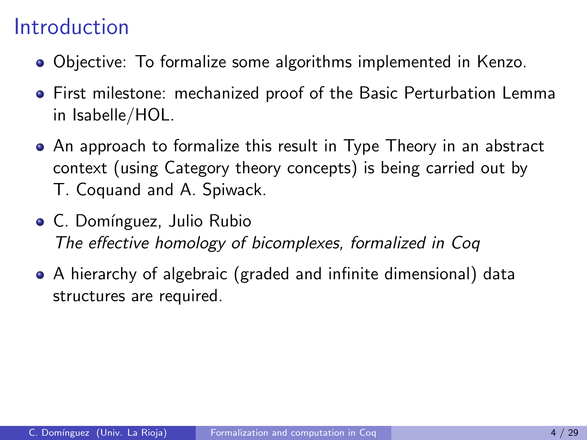- Objective: To formalize some algorithms implemented in Kenzo.
- First milestone: mechanized proof of the Basic Perturbation Lemma in Isabelle/HOL.
- An approach to formalize this result in Type Theory in an abstract context (using Category theory concepts) is being carried out by T. Coquand and A. Spiwack.
- C. Domínguez, Julio Rubio The effective homology of bicomplexes, formalized in Coq
- A hierarchy of algebraic (graded and infinite dimensional) data structures are required.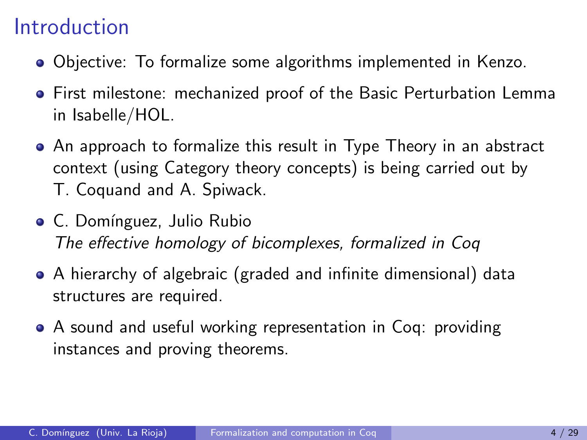- Objective: To formalize some algorithms implemented in Kenzo.
- First milestone: mechanized proof of the Basic Perturbation Lemma in Isabelle/HOL.
- An approach to formalize this result in Type Theory in an abstract context (using Category theory concepts) is being carried out by T. Coquand and A. Spiwack.
- C. Domínguez, Julio Rubio The effective homology of bicomplexes, formalized in Coq
- A hierarchy of algebraic (graded and infinite dimensional) data structures are required.
- A sound and useful working representation in Coq: providing instances and proving theorems.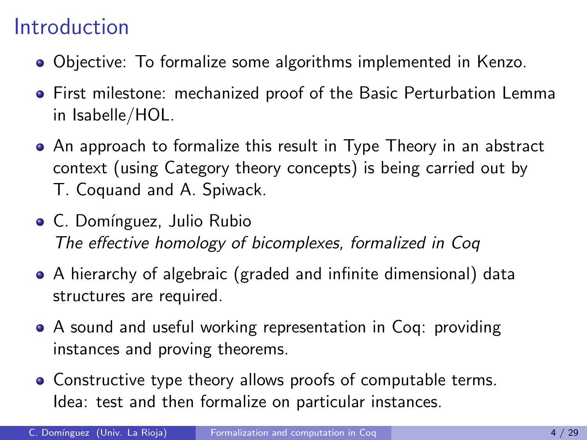- Objective: To formalize some algorithms implemented in Kenzo.
- First milestone: mechanized proof of the Basic Perturbation Lemma in Isabelle/HOL.
- An approach to formalize this result in Type Theory in an abstract context (using Category theory concepts) is being carried out by T. Coquand and A. Spiwack.
- C. Domínguez, Julio Rubio The effective homology of bicomplexes, formalized in Coq
- A hierarchy of algebraic (graded and infinite dimensional) data structures are required.
- A sound and useful working representation in Coq: providing instances and proving theorems.
- Constructive type theory allows proofs of computable terms. Idea: test and then formalize on particular instances.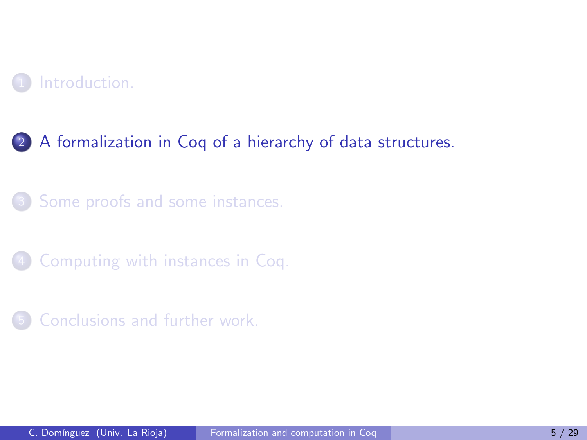

#### 2 [A formalization in Coq of a hierarchy of data structures.](#page-10-0)

[Some proofs and some instances.](#page-31-0)

[Computing with instances in Coq.](#page-48-0)

<span id="page-10-0"></span>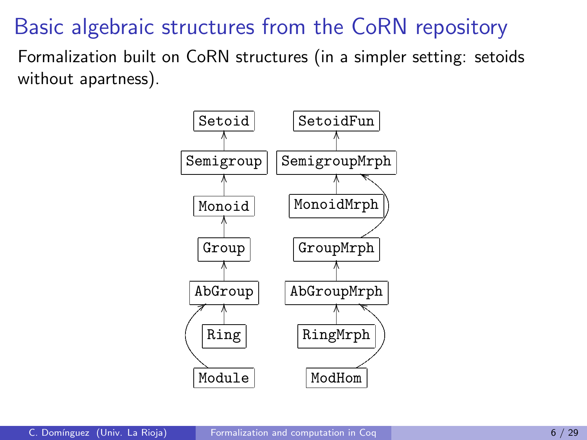## Basic algebraic structures from the CoRN repository

Formalization built on CoRN structures (in a simpler setting: setoids without apartness).

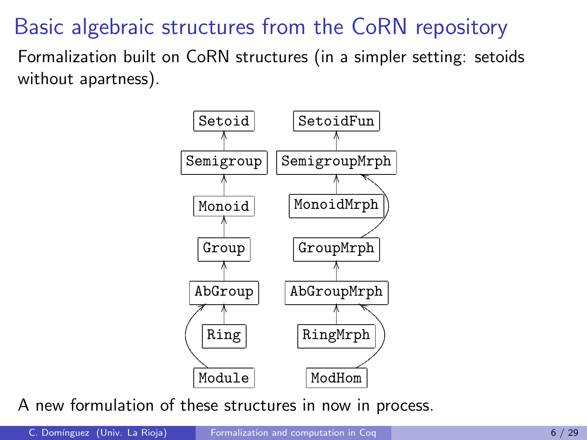## Basic algebraic structures from the CoRN repository

Formalization built on CoRN structures (in a simpler setting: setoids without apartness).



A new formulation of these structures in now in process.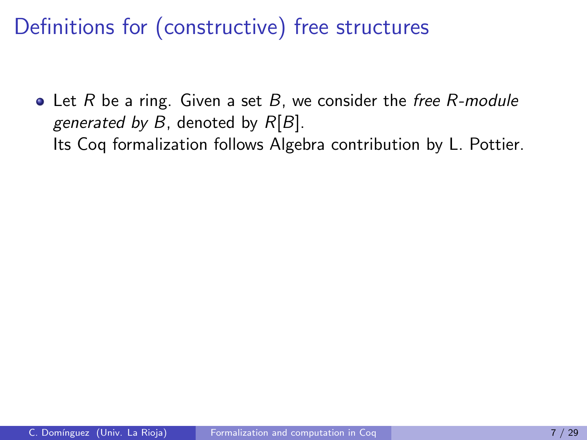$\bullet$  Let R be a ring. Given a set B, we consider the free R-module generated by  $B$ , denoted by  $R[B]$ . Its Coq formalization follows Algebra contribution by L. Pottier.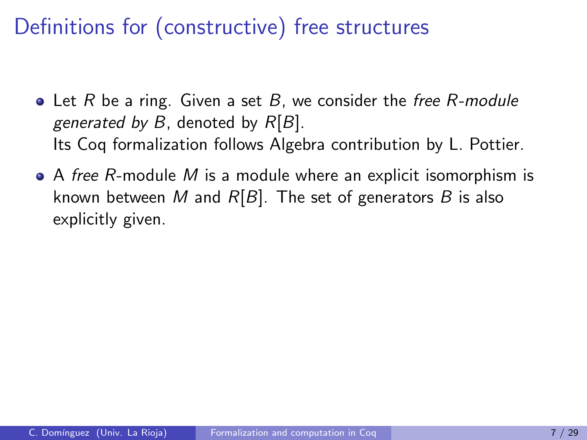- $\bullet$  Let R be a ring. Given a set B, we consider the free R-module generated by B, denoted by  $R[B]$ . Its Coq formalization follows Algebra contribution by L. Pottier.
- $\bullet$  A free R-module M is a module where an explicit isomorphism is known between M and  $R[B]$ . The set of generators B is also explicitly given.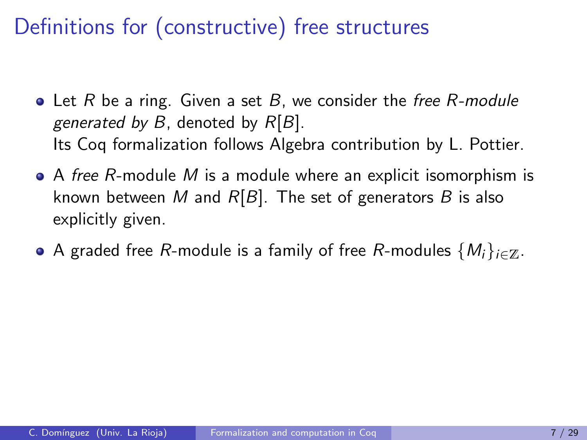- $\bullet$  Let R be a ring. Given a set B, we consider the free R-module generated by B, denoted by  $R[B]$ . Its Coq formalization follows Algebra contribution by L. Pottier.
- $\bullet$  A free R-module M is a module where an explicit isomorphism is known between M and  $R[B]$ . The set of generators B is also explicitly given.
- A graded free R-module is a family of free R-modules  $\{M_i\}_{i\in\mathbb{Z}}$ .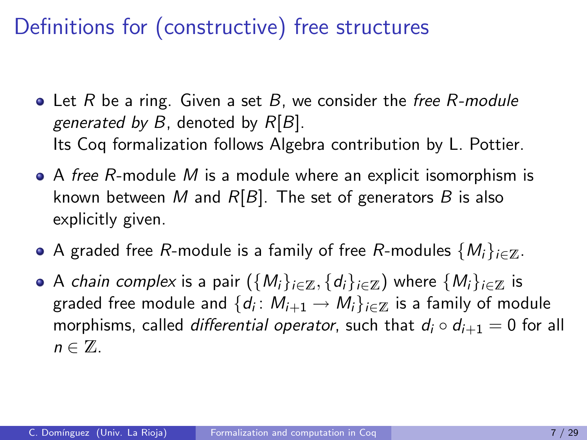- $\bullet$  Let R be a ring. Given a set B, we consider the free R-module generated by  $B$ , denoted by  $R[B]$ . Its Coq formalization follows Algebra contribution by L. Pottier.
- $\bullet$  A free R-module M is a module where an explicit isomorphism is known between M and  $R[B]$ . The set of generators B is also explicitly given.
- A graded free R-module is a family of free R-modules  $\{M_i\}_{i\in\mathbb{Z}}$ .
- A chain complex is a pair  $({M_i}_{i\in\mathbb{Z}}, {d_i}_{i\in\mathbb{Z}})$  where  ${M_i}_{i\in\mathbb{Z}}$  is graded free module and  $\{d_i\colon M_{i+1}\to M_i\}_{i\in\mathbb{Z}}$  is a family of module morphisms, called *differential operator*, such that  $d_i \circ d_{i+1} = 0$  for all  $n \in \mathbb{Z}$ .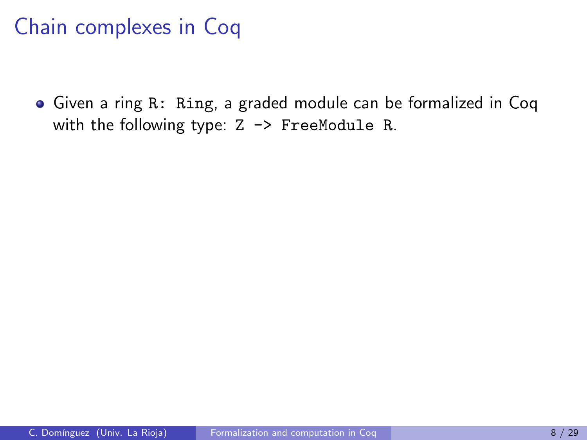## Chain complexes in Coq

Given a ring R: Ring, a graded module can be formalized in Coq with the following type:  $Z \rightarrow$  FreeModule R.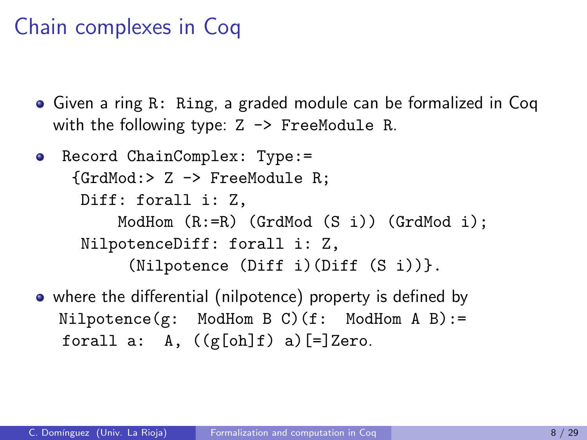## Chain complexes in Coq

- Given a ring R: Ring, a graded module can be formalized in Coq with the following type:  $Z \rightarrow$  FreeModule R.
- Record ChainComplex: Type:= {GrdMod:> Z -> FreeModule R; Diff: forall i: Z, ModHom  $(R:=R)$  (GrdMod  $(S_i)$ ) (GrdMod i): NilpotenceDiff: forall i: Z, (Nilpotence (Diff i)(Diff (S i))}.
- where the differential (nilpotence) property is defined by  $Nilpotence(g: ModHom B C) (f: ModHom A B) :=$ forall a: A,  $((g[oh]f) a)$ [=]Zero.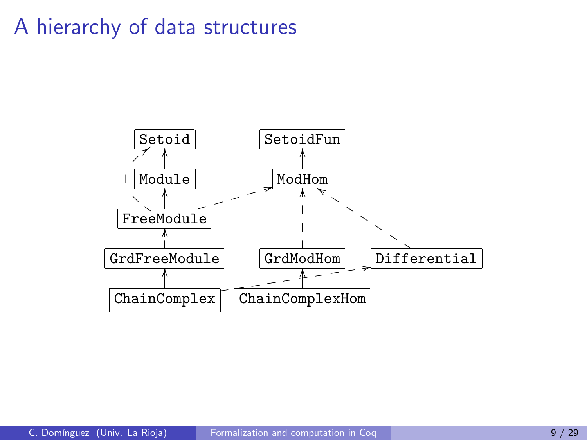### A hierarchy of data structures

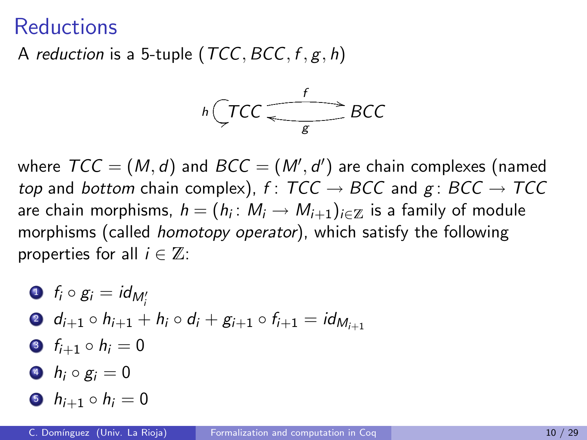#### **Reductions**

A reduction is a 5-tuple (TCC,  $BCC, f, g, h$ )



where  $\mathcal{TCC} = (M,d)$  and  $\mathcal{BCC} = (M',d')$  are chain complexes (named top and bottom chain complex), f:  $TCC \rightarrow BCC$  and g:  $BCC \rightarrow TCC$ are chain morphisms,  $h=(h_i\colon M_i\to M_{i+1})_{i\in\mathbb{Z}}$  is a family of module morphisms (called homotopy operator), which satisfy the following properties for all  $i \in \mathbb{Z}$ :

\n- \n
$$
f_i \circ g_i = id_{M'_i}
$$
\n
\n- \n $d_{i+1} \circ h_{i+1} + h_i \circ d_i + g_{i+1} \circ f_{i+1} = id_{M_{i+1}}$ \n
\n- \n $f_{i+1} \circ h_i = 0$ \n
\n- \n $h_i \circ g_i = 0$ \n
\n- \n $h_{i+1} \circ h_i = 0$ \n
\n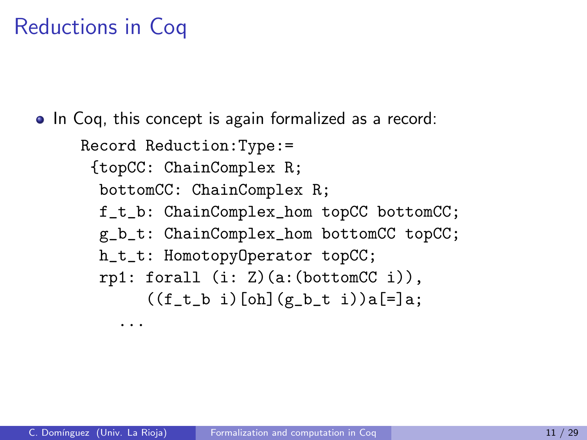## Reductions in Coq

...

• In Coq, this concept is again formalized as a record:

Record Reduction:Type:= {topCC: ChainComplex R; bottomCC: ChainComplex R; f\_t\_b: ChainComplex\_hom topCC bottomCC; g\_b\_t: ChainComplex\_hom bottomCC topCC; h\_t\_t: HomotopyOperator topCC;  $rpl:$  forall  $(i: Z)(a:(bottomCC i)),$  $((f_t_b i)$ [oh] $(g_b_t i)$ ] $(a_t)$ ]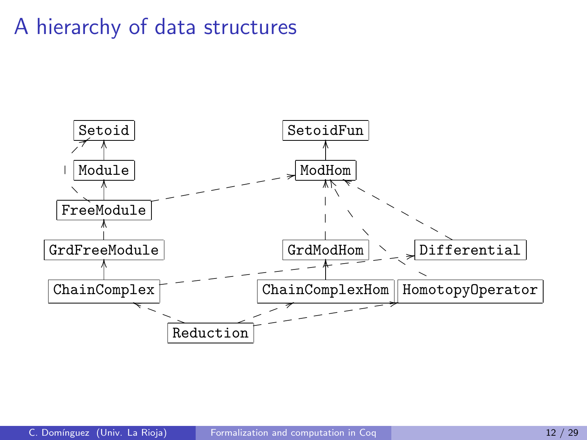## A hierarchy of data structures

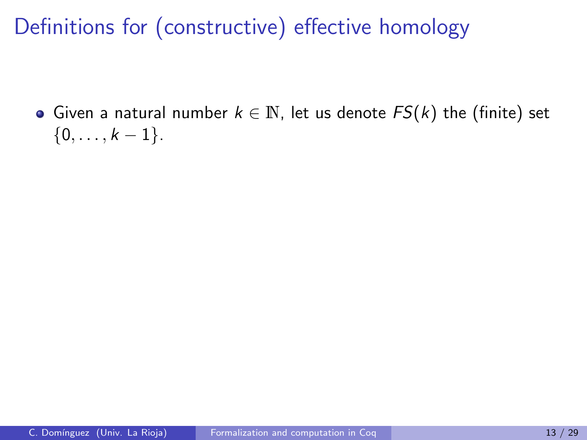Given a natural number  $k \in \mathbb{N}$ , let us denote  $FS(k)$  the (finite) set  $\{0, \ldots, k-1\}.$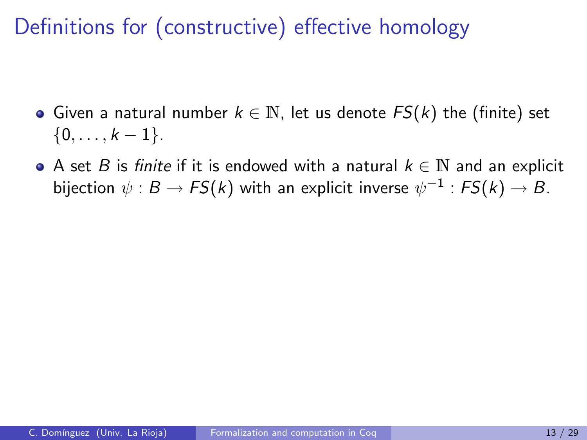- Given a natural number  $k \in \mathbb{N}$ , let us denote  $FS(k)$  the (finite) set  $\{0, \ldots, k-1\}.$
- A set B is finite if it is endowed with a natural  $k \in \mathbb{N}$  and an explicit bijection  $\psi:B\to \mathit{FS}(k)$  with an explicit inverse  $\psi^{-1}: \mathit{FS}(k)\to B.$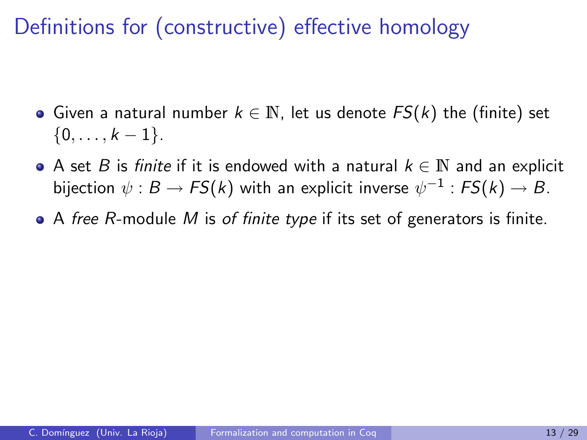- Given a natural number  $k \in \mathbb{N}$ , let us denote  $FS(k)$  the (finite) set  $\{0, \ldots, k-1\}.$
- A set B is finite if it is endowed with a natural  $k \in \mathbb{N}$  and an explicit bijection  $\psi:B\to \mathit{FS}(k)$  with an explicit inverse  $\psi^{-1}: \mathit{FS}(k)\to B.$
- $\bullet$  A free R-module M is of finite type if its set of generators is finite.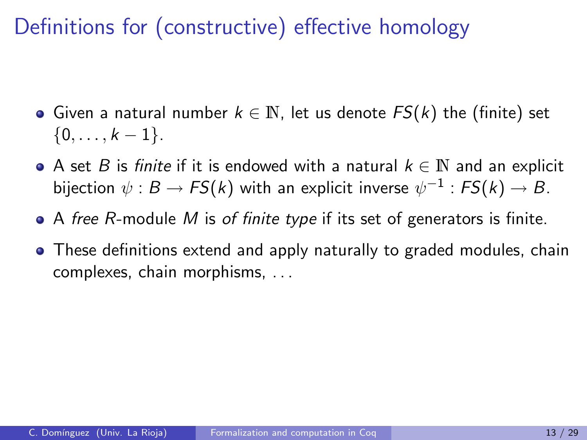- Given a natural number  $k \in \mathbb{N}$ , let us denote  $FS(k)$  the (finite) set  $\{0, \ldots, k-1\}.$
- A set B is finite if it is endowed with a natural  $k \in \mathbb{N}$  and an explicit bijection  $\psi:B\to \mathit{FS}(k)$  with an explicit inverse  $\psi^{-1}: \mathit{FS}(k)\to B.$
- $\bullet$  A free R-module M is of finite type if its set of generators is finite.
- These definitions extend and apply naturally to graded modules, chain complexes, chain morphisms, . . .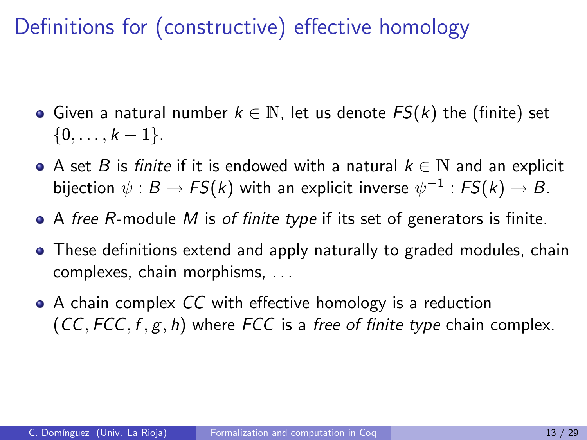- Given a natural number  $k \in \mathbb{N}$ , let us denote  $FS(k)$  the (finite) set  $\{0, \ldots, k-1\}.$
- A set B is finite if it is endowed with a natural  $k \in \mathbb{N}$  and an explicit bijection  $\psi:B\to \mathit{FS}(k)$  with an explicit inverse  $\psi^{-1}: \mathit{FS}(k)\to B.$
- $\bullet$  A free R-module M is of finite type if its set of generators is finite.
- These definitions extend and apply naturally to graded modules, chain complexes, chain morphisms, . . .
- A chain complex CC with effective homology is a reduction  $(CC, FCC, f, g, h)$  where FCC is a free of finite type chain complex.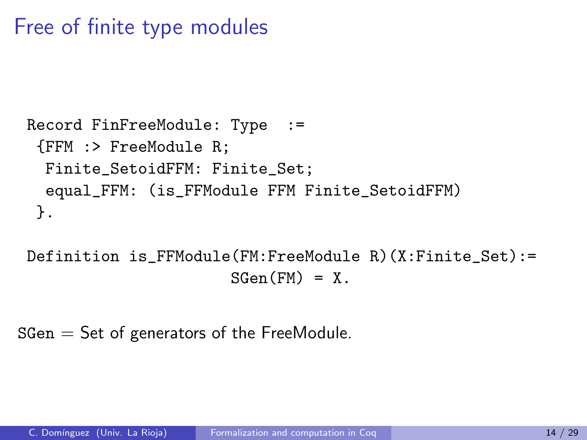## Free of finite type modules

```
Record FinFreeModule: Type :=
{FFM :> FreeModule R;
 Finite_SetoidFFM: Finite_Set;
 equal_FFM: (is_FFModule FFM Finite_SetoidFFM)
}.
```
Definition is\_FFModule(FM:FreeModule R)(X:Finite\_Set):=  $SGen(FM) = X$ .

 $SGen = Set of generators of the FreeModule.$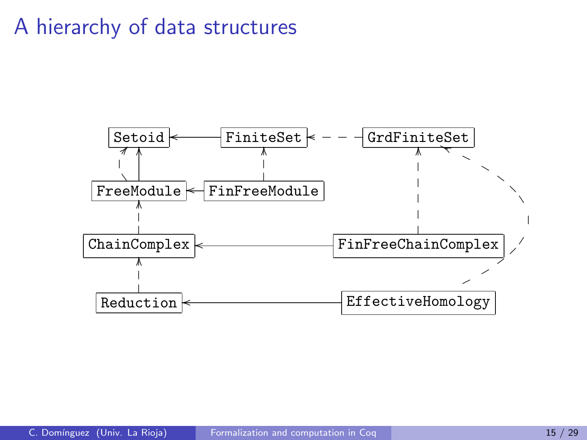#### A hierarchy of data structures

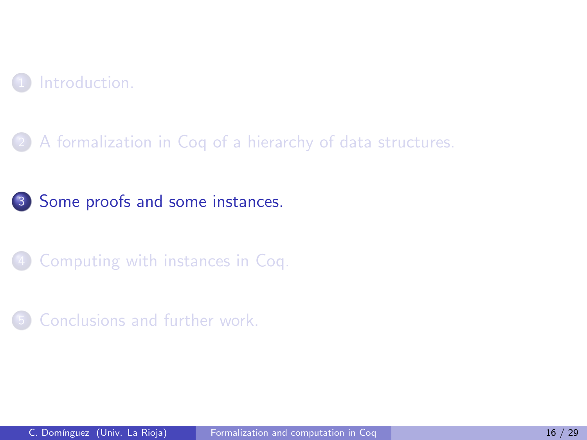

#### [A formalization in Coq of a hierarchy of data structures.](#page-10-0)

[Some proofs and some instances.](#page-31-0)

[Computing with instances in Coq.](#page-48-0)

<span id="page-31-0"></span>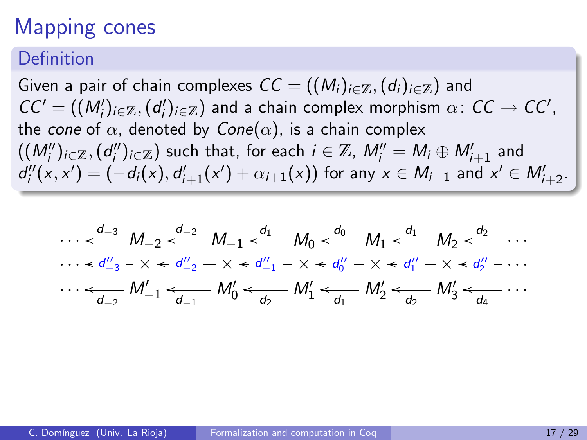## Mapping cones

#### Definition

Given a pair of chain complexes  $CC = ((M_i)_{i \in \mathbb{Z}}, (d_i)_{i \in \mathbb{Z}})$  and  $CC' = ((M'_i)_{i \in \mathbb{Z}}, (d'_i)_{i \in \mathbb{Z}})$  and a chain complex morphism  $\alpha \colon CC \to CC'$ , the cone of  $\alpha$ , denoted by Cone( $\alpha$ ), is a chain complex  $((M''_i)_{i\in\mathbb{Z}},(d''_i)_{i\in\mathbb{Z}})$  such that, for each  $i\in\mathbb{Z}$ ,  $M''_i=M_i\oplus M'_{i+1}$  and  $d''_i(x,x') = (-d_i(x), d'_{i+1}(x') + \alpha_{i+1}(x))$  for any  $x \in M_{i+1}$  and  $x' \in M'_{i+2}$ .

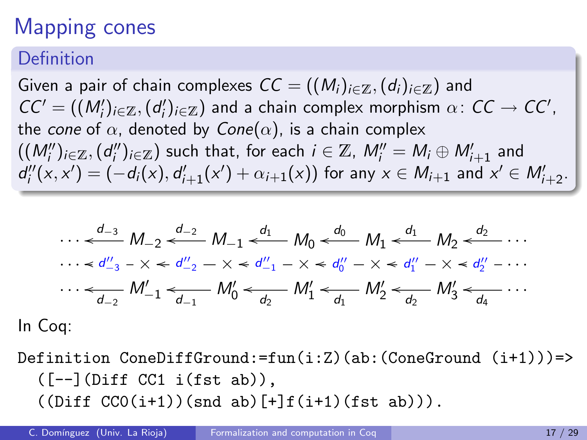## Mapping cones

#### Definition

Given a pair of chain complexes  $CC = ((M_i)_{i\in\mathbb{Z}}, (d_i)_{i\in\mathbb{Z}})$  and  $CC' = ((M'_i)_{i \in \mathbb{Z}}, (d'_i)_{i \in \mathbb{Z}})$  and a chain complex morphism  $\alpha \colon CC \to CC'$ , the cone of  $\alpha$ , denoted by Cone( $\alpha$ ), is a chain complex  $((M''_i)_{i\in\mathbb{Z}},(d''_i)_{i\in\mathbb{Z}})$  such that, for each  $i\in\mathbb{Z}$ ,  $M''_i=M_i\oplus M'_{i+1}$  and  $d''_i(x,x') = (-d_i(x), d'_{i+1}(x') + \alpha_{i+1}(x))$  for any  $x \in M_{i+1}$  and  $x' \in M'_{i+2}$ .

$$
\cdots \stackrel{d_{-3}}{\leftarrow} M_{-2} \stackrel{d_{-2}}{\leftarrow} M_{-1} \stackrel{d_1}{\leftarrow} M_0 \stackrel{d_0}{\leftarrow} M_1 \stackrel{d_1}{\leftarrow} M_2 \stackrel{d_2}{\leftarrow} \cdots
$$
  
\n
$$
\cdots \stackrel{d_{-3}}{\leftarrow} X \stackrel{d_{-2}}{\leftarrow} X \stackrel{d_{-2}}{\leftarrow} X \stackrel{d_{-1}}{\leftarrow} X \stackrel{d_1}{\leftarrow} M_0 \stackrel{d_0}{\leftarrow} X \stackrel{d_1}{\leftarrow} M_1 \stackrel{d_1}{\leftarrow} X \stackrel{d_2}{\leftarrow} \cdots
$$
  
\n
$$
\cdots \stackrel{d_{-2}}{\leftarrow} M_{-1}' \stackrel{d_{-1}}{\leftarrow} M_0' \stackrel{d_1}{\leftarrow} M_1' \stackrel{d_1}{\leftarrow} M_2' \stackrel{d_2}{\leftarrow} M_3' \stackrel{d_2}{\leftarrow} \cdots
$$

In Coq:

Definition ConeDiffGround:=fun(i:Z)(ab:(ConeGround (i+1)))=>  $([-–] (Diff CC1 i(fst ab)),$  $((Diff CCO(i+1))(snd ab) [+] f(i+1)(fst ab))).$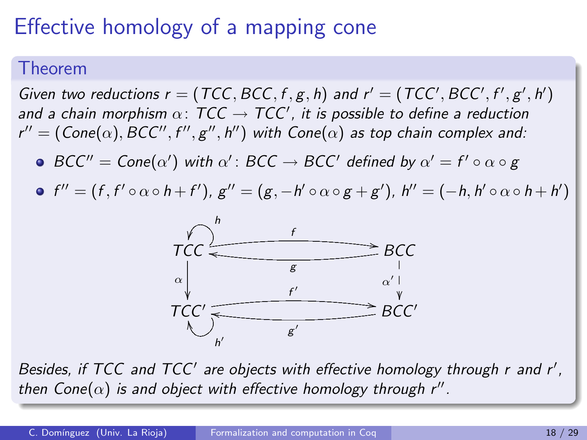# Effective homology of a mapping cone

#### Theorem

Given two reductions  $r = (TCC, BCC, f, g, h)$  and  $r' = (TCC', BCC', f', g', h')$ and a chain morphism  $\alpha\colon \mathcal{TCC}\to \mathcal{TCC}'$ , it is possible to define a reduction  $r'' = (\mathsf{Cone}(\alpha), \mathsf{BCC}'', \mathsf{f}'', \mathsf{g}'', \mathsf{h}'')$  with  $\mathsf{Cone}(\alpha)$  as top chain complex and:

- $BCC'' = Cone(\alpha')$  with  $\alpha'$ :  $BCC \rightarrow BCC'$  defined by  $\alpha' = f' \circ \alpha \circ g$
- $f''=(f,f'\circ \alpha \circ h+f'), g''=(g,-h'\circ \alpha \circ g+g'), h''=(-h,h'\circ \alpha \circ h+h')$



Besides, if TCC and TCC' are objects with effective homology through r and r', then Cone $(\alpha)$  is and object with effective homology through r".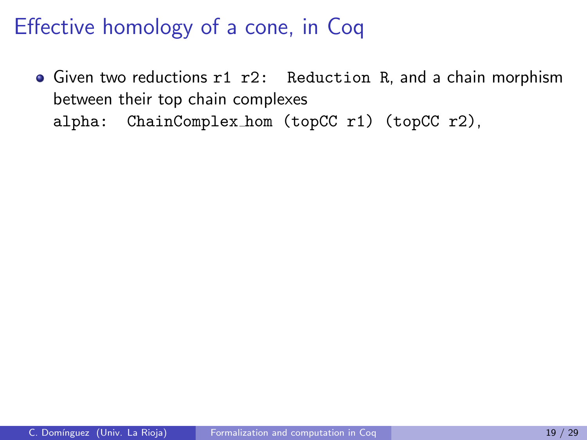• Given two reductions r1 r2: Reduction R, and a chain morphism between their top chain complexes alpha: ChainComplex hom (topCC r1) (topCC r2),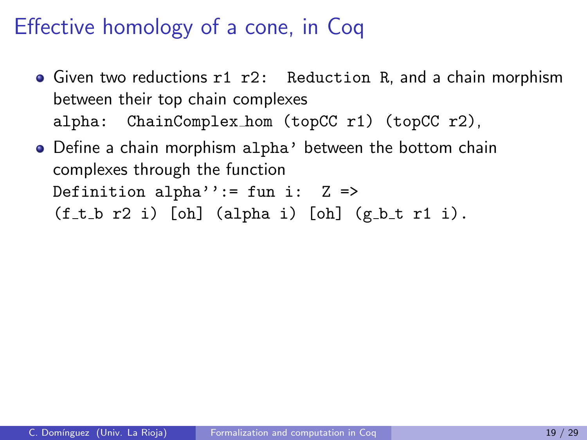- Given two reductions r1 r2: Reduction R, and a chain morphism between their top chain complexes alpha: ChainComplex hom (topCC r1) (topCC r2),
- Define a chain morphism alpha' between the bottom chain complexes through the function Definition alpha'':= fun i:  $Z \Rightarrow$  $(f_t b r2 i)$  [oh] (alpha i) [oh] (g\_b\_t r1 i).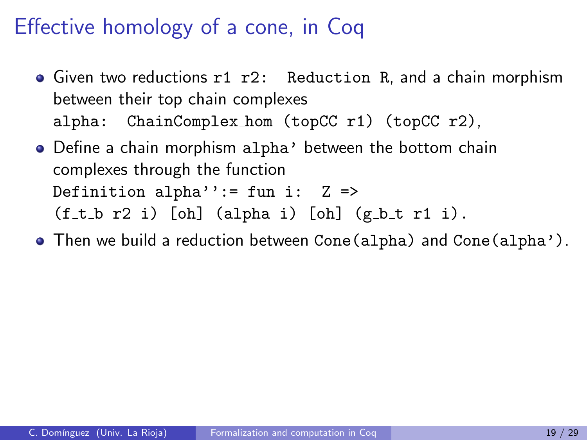- Given two reductions r1 r2: Reduction R, and a chain morphism between their top chain complexes alpha: ChainComplex hom (topCC r1) (topCC r2),
- Define a chain morphism alpha' between the bottom chain complexes through the function Definition alpha'':= fun i:  $Z \Rightarrow$  $(f_t b r2 i)$  [oh] (alpha i) [oh] (g\_b\_t r1 i).
- Then we build a reduction between Cone(alpha) and Cone(alpha').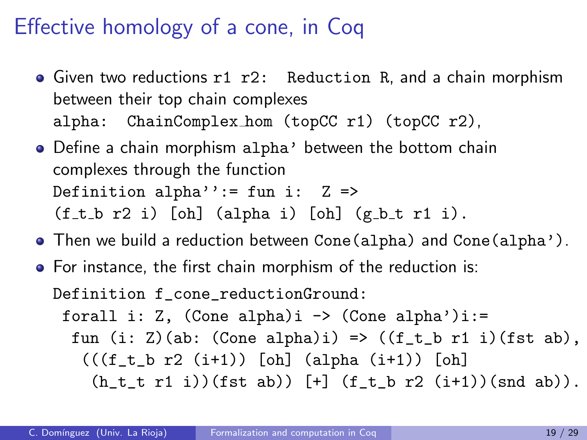- **•** Given two reductions r1 r2: Reduction R, and a chain morphism between their top chain complexes alpha: ChainComplex hom (topCC r1) (topCC r2),
- Define a chain morphism alpha' between the bottom chain complexes through the function Definition alpha'':= fun i:  $Z \Rightarrow$  $(f_t b r2 i)$  [oh] (alpha i) [oh] (g\_b\_t r1 i).
- Then we build a reduction between Cone(alpha) and Cone(alpha').
- For instance, the first chain morphism of the reduction is:

Definition f\_cone\_reductionGround: forall i: Z,  $(Cone alpha)i \rightarrow (Cone alpha')i:=$ fun (i: Z)(ab: (Cone alpha)i) =>  $((f_t_b r1 i)(fst ab))$ ,  $(((f_t b r2 (i+1)) [oh] (alpha (i+1)) [oh])$  $(h_t_t t r1 i)$  (fst ab))  $[t]$   $(f_t b r2 (i+1))$  (snd ab)).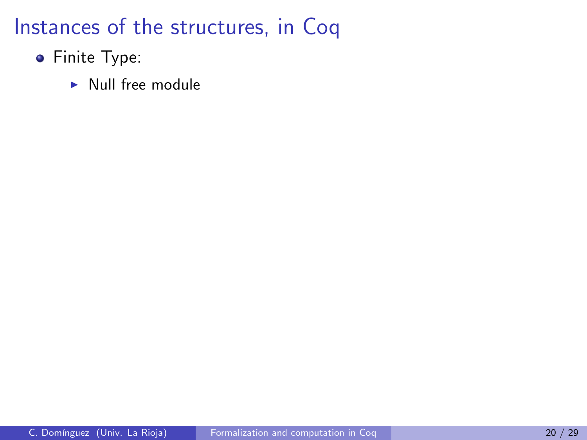- **•** Finite Type:
	- $\blacktriangleright$  Null free module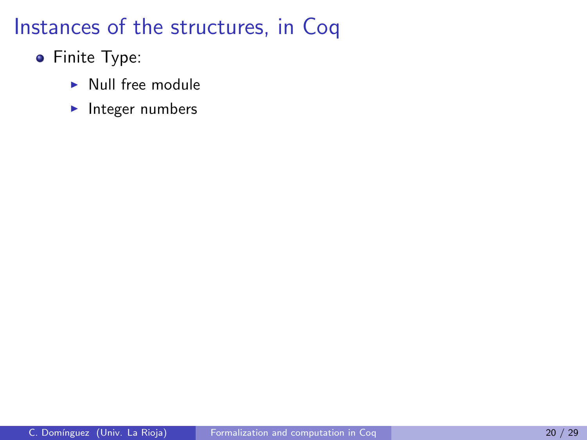- **•** Finite Type:
	- $\blacktriangleright$  Null free module
	- $\blacktriangleright$  Integer numbers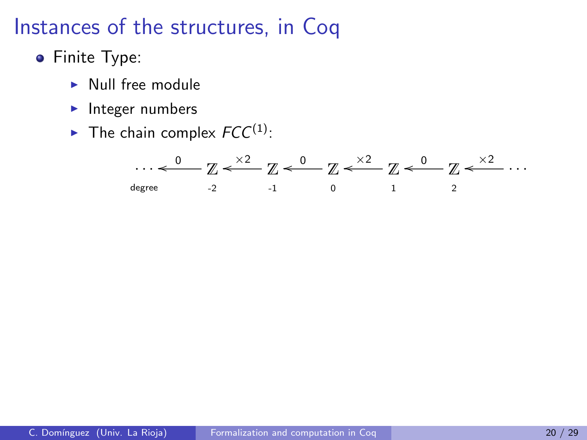- **•** Finite Type:
	- $\blacktriangleright$  Null free module
	- $\blacktriangleright$  Integer numbers
	- $\blacktriangleright$  The chain complex  $FCC^{(1)}$ :

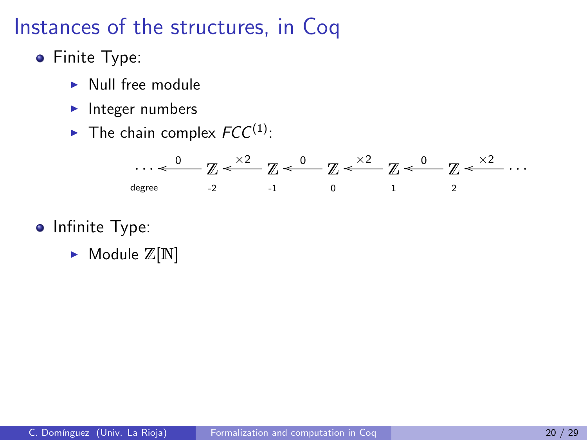- **•** Finite Type:
	- $\blacktriangleright$  Null free module
	- $\blacktriangleright$  Integer numbers
	- $\blacktriangleright$  The chain complex  $FCC^{(1)}$ :



- Infinite Type:
	- $\blacktriangleright$  Module  $\mathbb{Z}[\mathbb{N}]$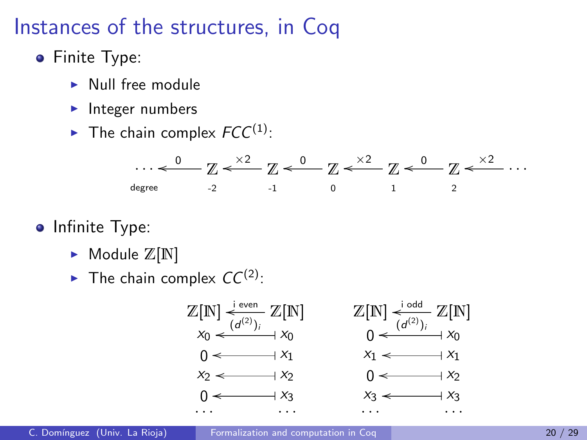- **•** Finite Type:
	- $\blacktriangleright$  Null free module
	- $\blacktriangleright$  Integer numbers
	- $\blacktriangleright$  The chain complex  $FCC^{(1)}$ :



- Infinite Type:
	- $\blacktriangleright$  Module  $\mathbb{Z}[\mathbb{N}]$
	- $\blacktriangleright$  The chain complex  $CC^{(2)}$ :

$$
\mathbb{Z}[N] \xleftarrow{\text{even}} \mathbb{Z}[N] \qquad \qquad \mathbb{Z}[N] \xleftarrow{\text{odd}} \mathbb{Z}[N]
$$
\n
$$
x_0 \xleftarrow{\text{(d(2))}} x_0
$$
\n
$$
0 \xleftarrow{\text{odd}} x_1
$$
\n
$$
x_2 \xleftarrow{\text{odd}} x_2
$$
\n
$$
0 \xleftarrow{\text{odd}} x_3
$$
\n
$$
0 \xleftarrow{\text{odd}} x_4
$$
\n
$$
0 \xleftarrow{\text{odd}} x_2
$$
\n
$$
0 \xleftarrow{\text{odd}} x_3
$$
\n
$$
0 \xleftarrow{\text{odd}} x_4
$$
\n
$$
0 \xleftarrow{\text{odd}} x_2
$$
\n
$$
0 \xleftarrow{\text{odd}} x_3
$$
\n
$$
0 \xleftarrow{\text{odd}} x_3
$$
\n
$$
0 \xleftarrow{\text{odd}} x_4
$$
\n
$$
0 \xleftarrow{\text{odd}} x_5
$$
\n
$$
0 \xleftarrow{\text{odd}} x_6
$$
\n
$$
0 \xleftarrow{\text{odd}} x_7
$$
\n
$$
0 \xleftarrow{\text{odd}} x_8
$$
\n
$$
0 \xleftarrow{\text{odd}} x_9
$$
\n
$$
0 \xleftarrow{\text{odd}} x_9
$$
\n
$$
0 \xleftarrow{\text{odd}} x_9
$$
\n
$$
0 \xleftarrow{\text{odd}} x_9
$$
\n
$$
0 \xleftarrow{\text{odd}} x_9
$$
\n
$$
0 \xleftarrow{\text{odd}} x_9
$$
\n
$$
0 \xleftarrow{\text{odd}} x_9
$$
\n
$$
0 \xleftarrow{\text{odd}} x_9
$$
\n
$$
0 \xleftarrow{\text{odd}} x_9
$$
\n
$$
0 \xleftarrow{\text{odd}} x_9
$$
\n
$$
0 \xleftarrow{\text{odd}} x_9
$$
\n
$$
0 \xleftarrow{\text{odd}} x_9
$$
\n
$$
0 \xleftarrow{\text{odd}} x_9
$$
\n
$$
0 \xleftarrow{\text{odd}} x_9
$$
\n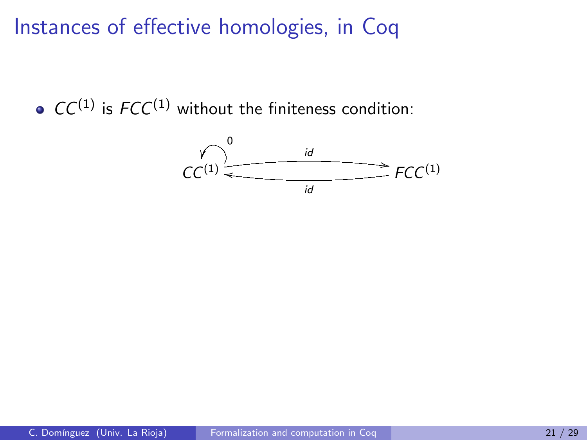$\bullet$  CC<sup>(1)</sup> is FCC<sup>(1)</sup> without the finiteness condition:

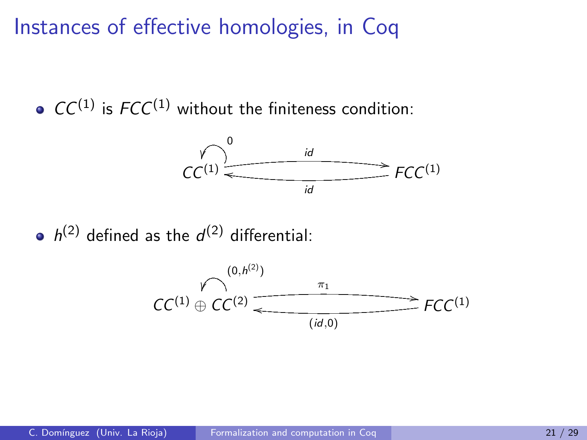$\bullet$  CC<sup>(1)</sup> is FCC<sup>(1)</sup> without the finiteness condition:



 $h^{(2)}$  defined as the  $d^{(2)}$  differential:

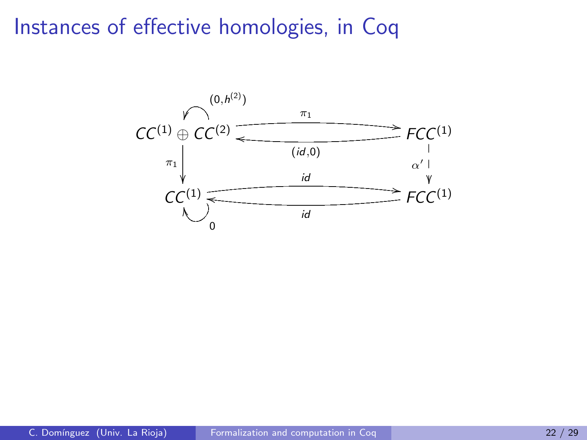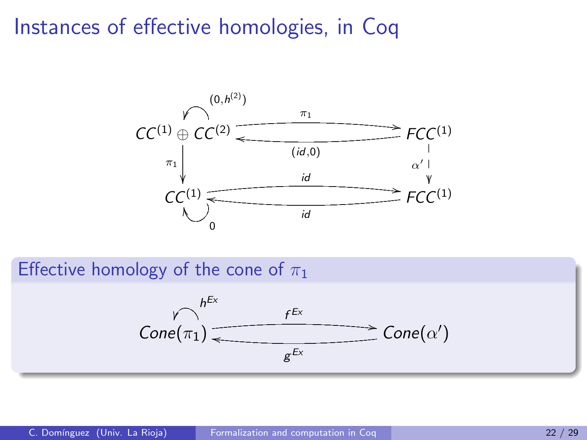

Effective homology of the cone of  $\pi_1$ 

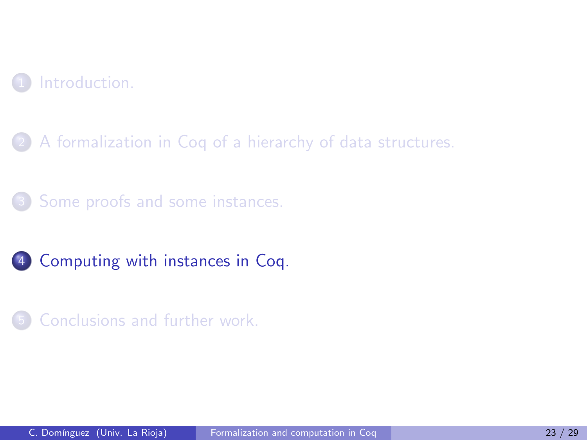

[A formalization in Coq of a hierarchy of data structures.](#page-10-0)

[Some proofs and some instances.](#page-31-0)



<span id="page-48-0"></span>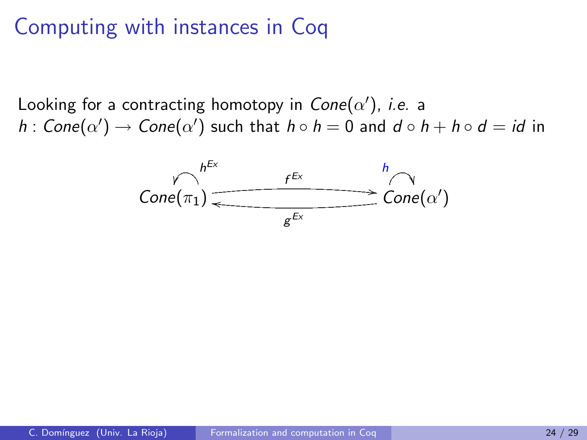## Computing with instances in Coq

Looking for a contracting homotopy in  $\mathcal{C}$ one $(\alpha')$ , *i.e.* a  $h: \mathsf{Cone}(\alpha') \to \mathsf{Cone}(\alpha')$  such that  $h \circ h = 0$  and  $d \circ h + h \circ d = id$  in

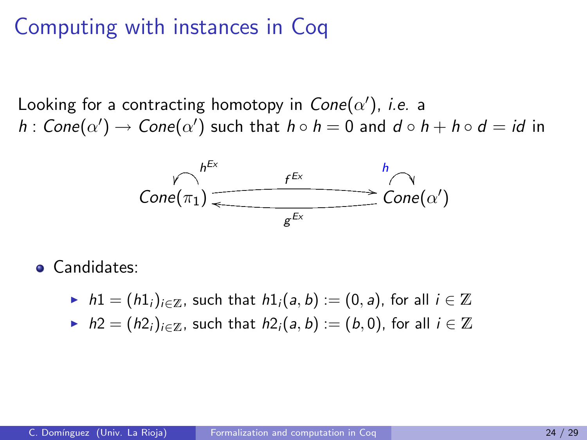### Computing with instances in Coq

Looking for a contracting homotopy in  $\mathcal{C}$ one $(\alpha')$ , *i.e.* a  $h: \mathsf{Cone}(\alpha') \to \mathsf{Cone}(\alpha')$  such that  $h \circ h = 0$  and  $d \circ h + h \circ d = id$  in



**•** Candidates:

- $\triangleright$  h1 =  $(h1_i)_{i\in\mathbb{Z}}$ , such that  $h1_i(a, b) := (0, a)$ , for all  $i \in \mathbb{Z}$
- $h$  h2 =  $(h2<sub>i</sub>)<sub>i∈Z</sub>$ , such that  $h2<sub>i</sub>(a, b) := (b, 0)$ , for all  $i \in \mathbb{Z}$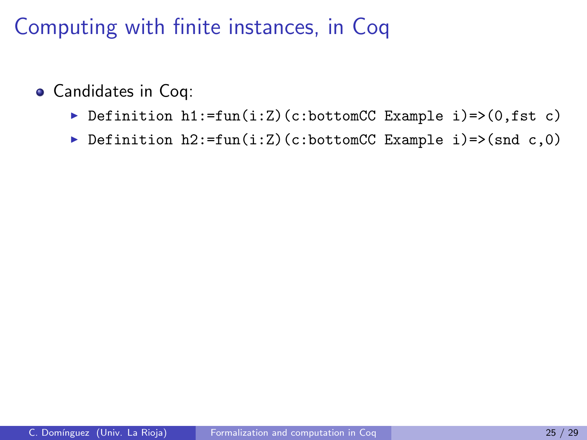- Candidates in Coq:
	- Definition h1:=fun(i:Z)(c:bottomCC Example i)=>(0,fst c)
	- Definition  $h2:=fun(i:Z)(c:bottomCC Example i)=>(snd c,0)$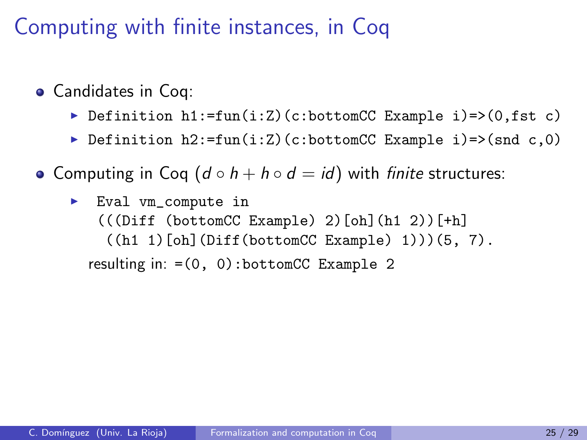- Candidates in Coq:
	- Definition  $h1:=fun(i:Z)(c:bottomCC Example i)=>(0,fst c)$
	- ▶ Definition h2:=fun(i:Z)(c:bottomCC Example i)=>(snd c,0)
- Computing in Coq  $(d \circ h + h \circ d = id)$  with finite structures:
	- Eval vm\_compute in  $(($  (Diff (bottomCC Example) 2)[oh](h1 2))[+h]  $((h1 1) [oh] (Diff(bottomCC Example) 1)))(5, 7).$ resulting in:  $=(0, 0)$ : bottomCC Example 2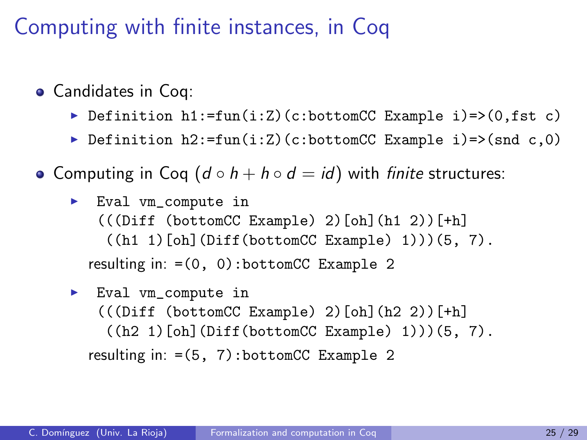- Candidates in Coq:
	- Definition  $h1:=fun(i:Z)(c:bottomCC Example i)=>(0,fst c)$
	- ▶ Definition h2:=fun(i:Z)(c:bottomCC Example i)=>(snd c,0)
- Computing in Coq  $(d \circ h + h \circ d = id)$  with finite structures:
	- ► Eval vm\_compute in  $(($  (Diff (bottomCC Example) 2)[oh](h1 2))[+h]  $((h1 1) [oh] (Diff(bottomCC Example) 1)))(5, 7).$ resulting in:  $=(0, 0)$ : bottomCC Example 2
	- ► Eval vm\_compute in  $(($  (Diff (bottomCC Example) 2)[oh](h2 2))[+h]  $((h2 1) [oh] (Diff (bottomCC Example) 1)))(5, 7).$ resulting in:  $=(5, 7)$ : bottomCC Example 2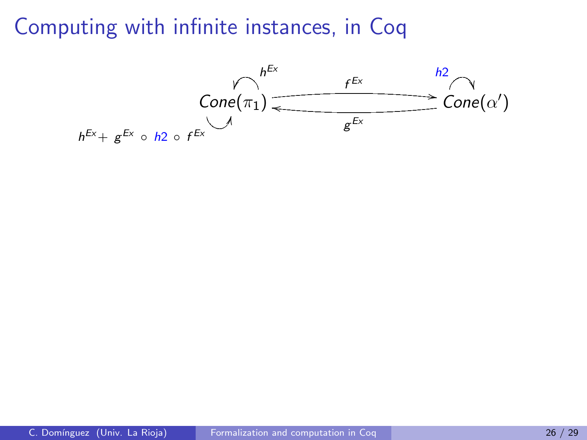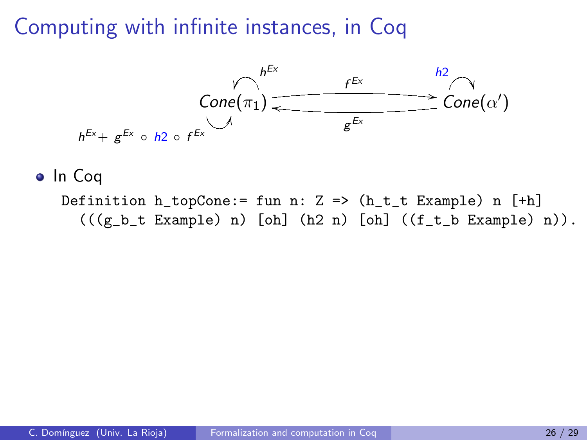

#### o In Coq

Definition  $h_t$ -topCone:= fun n: Z =>  $(h_t_t$  Example) n  $[th]$  $(((g_b_t t \quad Example) n) [oh] (h2 n) [oh] ((f_t_b Example) n)).$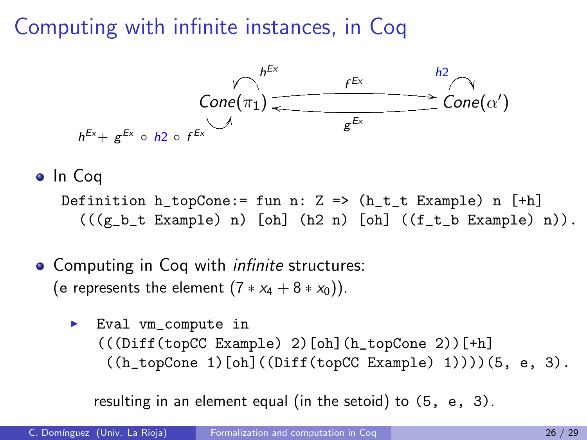

#### o In Coa

Definition  $h_t$ -topCone:= fun n: Z =>  $(h_t_t_t$  Example) n  $[t_h]$  $(((g_b_t t \quad Example) n)$  [oh]  $(h2 n)$  [oh]  $((f_t b \quad Example) n)).$ 

#### • Computing in Coq with *infinite* structures: (e represents the element  $(7 * x_4 + 8 * x_0)$ ).

 $\blacktriangleright$  Eval vm\_compute in  $((\text{Diff}(\text{topCC Example}) 2) [\text{oh}] (\text{h\_topCone} 2)) [\text{+h}]$  $((h_ttopCone 1) [oh] ((Diff(topCC Example) 1)))) (5, e, 3).$ 

resulting in an element equal (in the setoid) to (5, e, 3).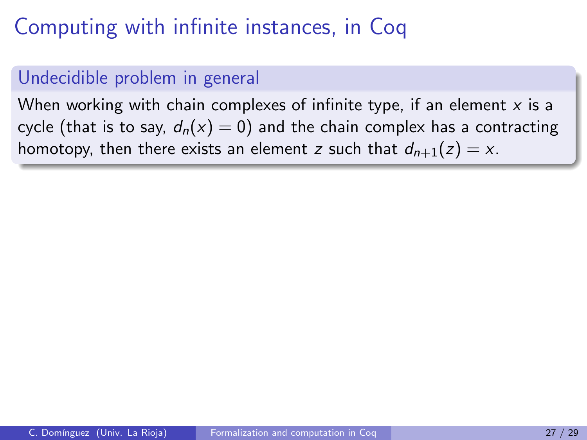#### Undecidible problem in general

When working with chain complexes of infinite type, if an element  $x$  is a cycle (that is to say,  $d_n(x) = 0$ ) and the chain complex has a contracting homotopy, then there exists an element z such that  $d_{n+1}(z) = x$ .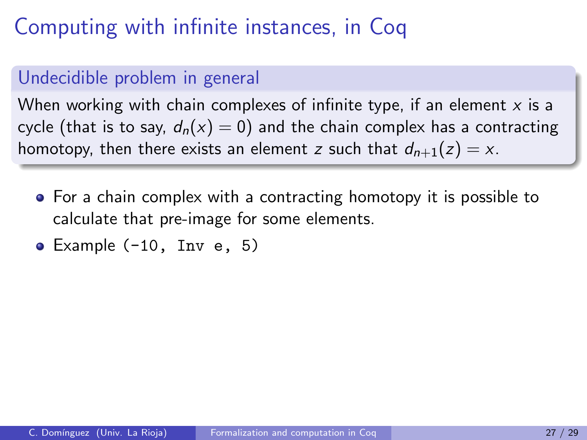#### Undecidible problem in general

When working with chain complexes of infinite type, if an element  $x$  is a cycle (that is to say,  $d_n(x) = 0$ ) and the chain complex has a contracting homotopy, then there exists an element z such that  $d_{n+1}(z) = x$ .

- For a chain complex with a contracting homotopy it is possible to calculate that pre-image for some elements.
- Example (-10, Inv e, 5)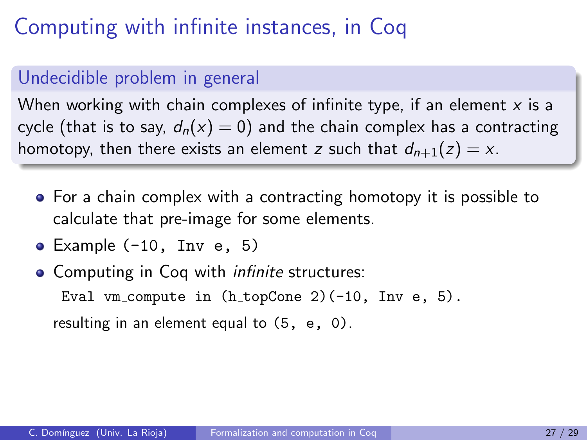#### Undecidible problem in general

When working with chain complexes of infinite type, if an element  $x$  is a cycle (that is to say,  $d_n(x) = 0$ ) and the chain complex has a contracting homotopy, then there exists an element z such that  $d_{n+1}(z) = x$ .

- For a chain complex with a contracting homotopy it is possible to calculate that pre-image for some elements.
- $\bullet$  Example (-10, Inv e, 5)
- Computing in Coq with *infinite* structures: Eval vm compute in  $(h\_topCone 2)$  (-10, Inv e, 5). resulting in an element equal to (5, e, 0).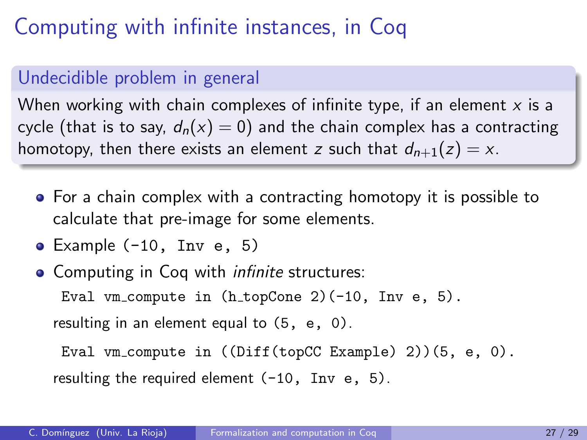#### Undecidible problem in general

When working with chain complexes of infinite type, if an element  $x$  is a cycle (that is to say,  $d_n(x) = 0$ ) and the chain complex has a contracting homotopy, then there exists an element z such that  $d_{n+1}(z) = x$ .

- For a chain complex with a contracting homotopy it is possible to calculate that pre-image for some elements.
- Example (-10, Inv e, 5)
- Computing in Coq with *infinite* structures: Eval vm compute in  $(h\_topCone 2)$  (-10, Inv e, 5). resulting in an element equal to (5, e, 0).

Eval vm compute in ((Diff(topCC Example) 2))(5, e, 0). resulting the required element  $(-10, \text{Inv } e, 5)$ .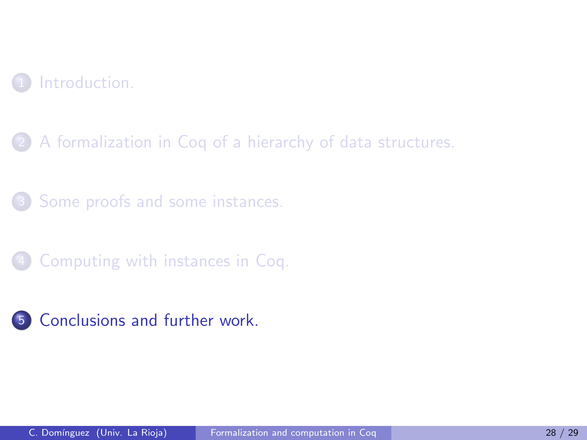

2 [A formalization in Coq of a hierarchy of data structures.](#page-10-0)

[Some proofs and some instances.](#page-31-0)

[Computing with instances in Coq.](#page-48-0)

<span id="page-61-0"></span>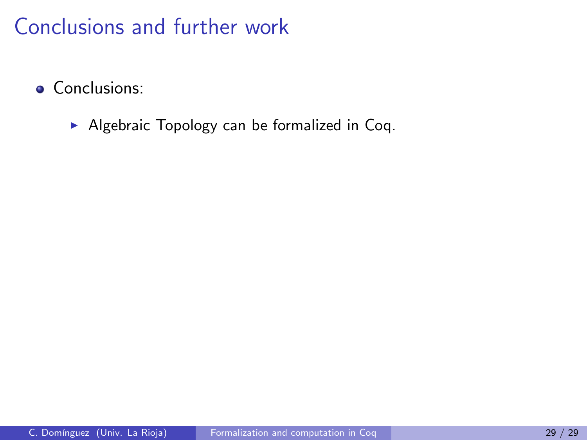• Conclusions:

 $\blacktriangleright$  Algebraic Topology can be formalized in Coq.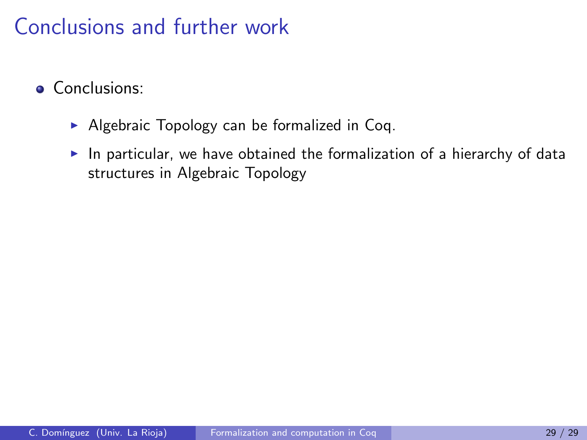- **Conclusions:** 
	- $\triangleright$  Algebraic Topology can be formalized in Coq.
	- In particular, we have obtained the formalization of a hierarchy of data structures in Algebraic Topology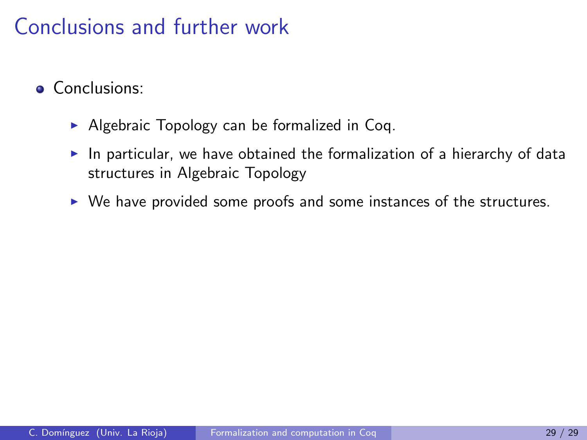- **Conclusions:** 
	- $\triangleright$  Algebraic Topology can be formalized in Coq.
	- $\blacktriangleright$  In particular, we have obtained the formalization of a hierarchy of data structures in Algebraic Topology
	- $\triangleright$  We have provided some proofs and some instances of the structures.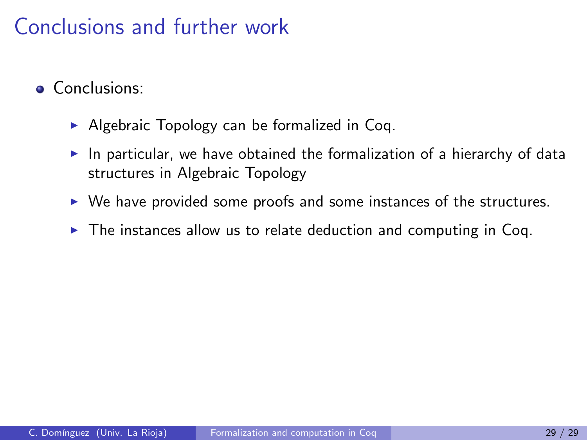- **Conclusions:** 
	- $\triangleright$  Algebraic Topology can be formalized in Coq.
	- In particular, we have obtained the formalization of a hierarchy of data structures in Algebraic Topology
	- $\triangleright$  We have provided some proofs and some instances of the structures.
	- $\triangleright$  The instances allow us to relate deduction and computing in Coq.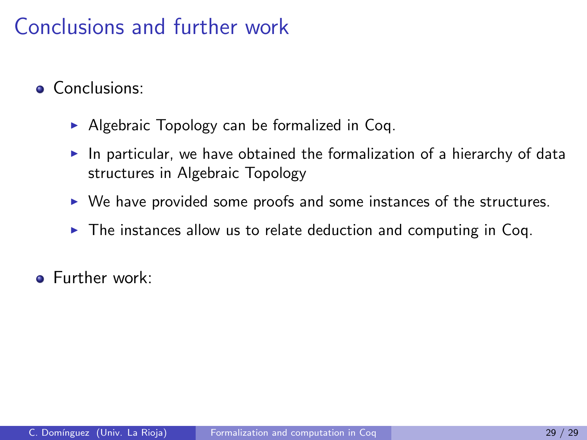- **Conclusions:** 
	- $\triangleright$  Algebraic Topology can be formalized in Coq.
	- In particular, we have obtained the formalization of a hierarchy of data structures in Algebraic Topology
	- $\triangleright$  We have provided some proofs and some instances of the structures.
	- $\triangleright$  The instances allow us to relate deduction and computing in Coq.
- **•** Further work: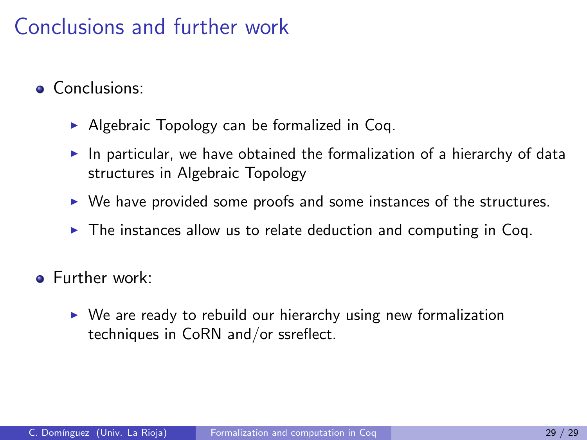- **Conclusions:** 
	- $\triangleright$  Algebraic Topology can be formalized in Coq.
	- In particular, we have obtained the formalization of a hierarchy of data structures in Algebraic Topology
	- $\triangleright$  We have provided some proofs and some instances of the structures.
	- $\triangleright$  The instances allow us to relate deduction and computing in Coq.
- **•** Further work:
	- $\triangleright$  We are ready to rebuild our hierarchy using new formalization techniques in CoRN and/or ssreflect.